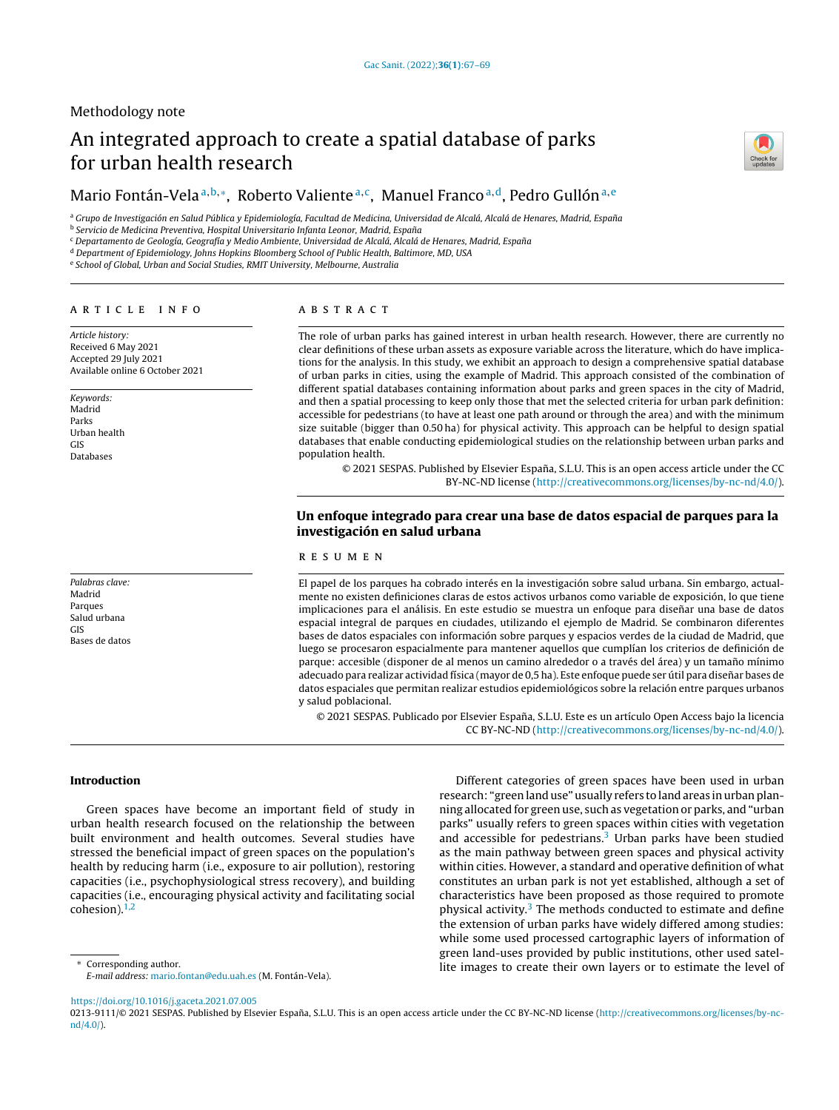# Methodology note

# An integrated approach to create a spatial database of parks for urban health research

# Mario Fontán-Vela a,b,\*, Roberto Valiente a,c, Manuel Franco a,d, Pedro Gullón a,e

<sup>a</sup> Grupo de Investigación en Salud Pública y Epidemiología, Facultad de Medicina, Universidad de Alcalá, Alcalá de Henares, Madrid, España

<sup>b</sup> Servicio de Medicina Preventiva, Hospital Universitario Infanta Leonor, Madrid, España

<sup>c</sup> Departamento de Geología, Geografía y Medio Ambiente, Universidad de Alcalá, Alcalá de Henares, Madrid, España

<sup>d</sup> Department of Epidemiology, Johns Hopkins Bloomberg School of Public Health, Baltimore, MD, USA

<sup>e</sup> School of Global, Urban and Social Studies, RMIT University, Melbourne, Australia

#### ARTICLE INFO

Article history: Received 6 May 2021 Accepted 29 July 2021 Available online 6 October 2021

Keywords: Madrid Parks Urban health GIS Databases

Palabras clave: Madrid Parques Salud urbana GIS Bases de datos

# a b s t r a c t

The role of urban parks has gained interest in urban health research. However, there are currently no clear definitions of these urban assets as exposure variable across the literature, which do have implications for the analysis. In this study, we exhibit an approach to design a comprehensive spatial database of urban parks in cities, using the example of Madrid. This approach consisted of the combination of different spatial databases containing information about parks and green spaces in the city of Madrid, and then a spatial processing to keep only those that met the selected criteria for urban park definition: accessible for pedestrians (to have at least one path around or through the area) and with the minimum size suitable (bigger than 0.50 ha) for physical activity. This approach can be helpful to design spatial databases that enable conducting epidemiological studies on the relationship between urban parks and population health.

© 2021 SESPAS. Published by Elsevier España, S.L.U. This is an open access article under the CC BY-NC-ND license [\(http://creativecommons.org/licenses/by-nc-nd/4.0/](http://creativecommons.org/licenses/by-nc-nd/4.0/)).

# Un enfoque integrado para crear una base de datos espacial de parques para la investigación en salud urbana

# r e s u m e n

El papel de los parques ha cobrado interés en la investigación sobre salud urbana. Sin embargo, actualmente no existen definiciones claras de estos activos urbanos como variable de exposición, lo que tiene implicaciones para el análisis. En este estudio se muestra un enfoque para diseñar una base de datos espacial integral de parques en ciudades, utilizando el ejemplo de Madrid. Se combinaron diferentes bases de datos espaciales con información sobre parques y espacios verdes de la ciudad de Madrid, que luego se procesaron espacialmente para mantener aquellos que cumplían los criterios de definición de parque: accesible (disponer de al menos un camino alrededor o a través del área) y un tamaño mínimo adecuado para realizar actividad física (mayor de 0,5 ha). Este enfoque puede ser útil para diseñar bases de datos espaciales que permitan realizar estudios epidemiológicos sobre la relación entre parques urbanos y salud poblacional.

© 2021 SESPAS. Publicado por Elsevier España, S.L.U. Este es un artículo Open Access bajo la licencia CC BY-NC-ND [\(http://creativecommons.org/licenses/by-nc-nd/4.0/](http://creativecommons.org/licenses/by-nc-nd/4.0/)).

# Introduction

Green spaces have become an important field of study in urban health research focused on the relationship the between built environment and health outcomes. Several studies have stressed the beneficial impact of green spaces on the population's health by reducing harm (i.e., exposure to air pollution), restoring capacities (i.e., psychophysiological stress recovery), and building capacities (i.e., encouraging physical activity and facilitating social cohesion). $1,2$ 

Corresponding author. E-mail address: [mario.fontan@edu.uah.es](mailto:mario.fontan@edu.uah.es) (M. Fontán-Vela).

Different categories of green spaces have been used in urban research: "green land use" usually refers to land areas in urban planning allocated for green use, such as vegetation or parks, and "urban parks" usually refers to green spaces within cities with vegetation and accessible for pedestrians. $3$  Urban parks have been studied as the main pathway between green spaces and physical activity within cities. However, a standard and operative definition of what constitutes an urban park is not yet established, although a set of characteristics have been proposed as those required to promote physical activity. $3$  The methods conducted to estimate and define the extension of urban parks have widely differed among studies: while some used processed cartographic layers of information of green land-uses provided by public institutions, other used satellite images to create their own layers or to estimate the level of

<https://doi.org/10.1016/j.gaceta.2021.07.005>

0213-9111/© 2021 SESPAS. Published by Elsevier España, S.L.U. This is an open access article under the CC BY-NC-ND license [\(http://creativecommons.org/licenses/by-nc](http://creativecommons.org/licenses/by-nc-nd/4.0/)[nd/4.0/\)](http://creativecommons.org/licenses/by-nc-nd/4.0/).

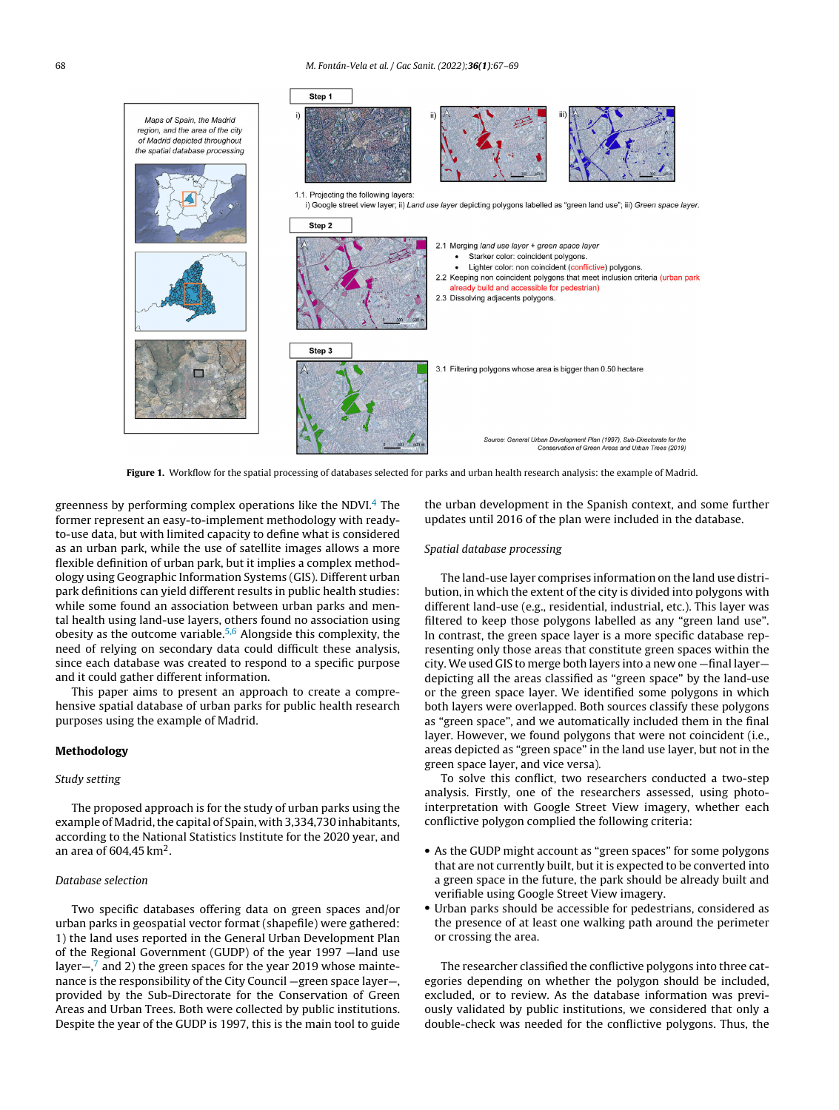<span id="page-1-0"></span>

Figure 1. Workflow for the spatial processing of databases selected for parks and urban health research analysis: the example of Madrid.

greenness by performing complex operations like the NDVI. $4$  The former represent an easy-to-implement methodology with readyto-use data, but with limited capacity to define what is considered as an urban park, while the use of satellite images allows a more flexible definition of urban park, but it implies a complex methodology using Geographic Information Systems (GIS). Different urban park definitions can yield different results in public health studies: while some found an association between urban parks and mental health using land-use layers, others found no association using obesity as the outcome variable.[5,6](#page-2-0) Alongside this complexity, the need of relying on secondary data could difficult these analysis, since each database was created to respond to a specific purpose and it could gather different information.

This paper aims to present an approach to create a comprehensive spatial database of urban parks for public health research purposes using the example of Madrid.

# Methodology

# Study setting

The proposed approach is for the study of urban parks using the example of Madrid, the capital of Spain, with 3,334,730 inhabitants, according to the National Statistics Institute for the 2020 year, and an area of 604,45 km $^2\!$ .

# Database selection

Two specific databases offering data on green spaces and/or urban parks in geospatial vector format (shapefile) were gathered: 1) the land uses reported in the General Urban Development Plan of the Regional Government (GUDP) of the year 1997 —land use l[a](#page-2-0)yer $-\frac{7}{3}$  and 2) the green spaces for the year 2019 whose maintenance is the responsibility of the City Council —green space layer—, provided by the Sub-Directorate for the Conservation of Green Areas and Urban Trees. Both were collected by public institutions. Despite the year of the GUDP is 1997, this is the main tool to guide

the urban development in the Spanish context, and some further updates until 2016 of the plan were included in the database.

#### Spatial database processing

The land-use layer comprises information on the land use distribution, in which the extent of the city is divided into polygons with different land-use (e.g., residential, industrial, etc.). This layer was filtered to keep those polygons labelled as any "green land use". In contrast, the green space layer is a more specific database representing only those areas that constitute green spaces within the city. We used GIS to merge both layers into a new one —final layer depicting all the areas classified as "green space" by the land-use or the green space layer. We identified some polygons in which both layers were overlapped. Both sources classify these polygons as "green space", and we automatically included them in the final layer. However, we found polygons that were not coincident (i.e., areas depicted as "green space" in the land use layer, but not in the green space layer, and vice versa).

To solve this conflict, two researchers conducted a two-step analysis. Firstly, one of the researchers assessed, using photointerpretation with Google Street View imagery, whether each conflictive polygon complied the following criteria:

- As the GUDP might account as "green spaces" for some polygons that are not currently built, but it is expected to be converted into a green space in the future, the park should be already built and verifiable using Google Street View imagery.
- Urban parks should be accessible for pedestrians, considered as the presence of at least one walking path around the perimeter or crossing the area.

The researcher classified the conflictive polygons into three categories depending on whether the polygon should be included, excluded, or to review. As the database information was previously validated by public institutions, we considered that only a double-check was needed for the conflictive polygons. Thus, the